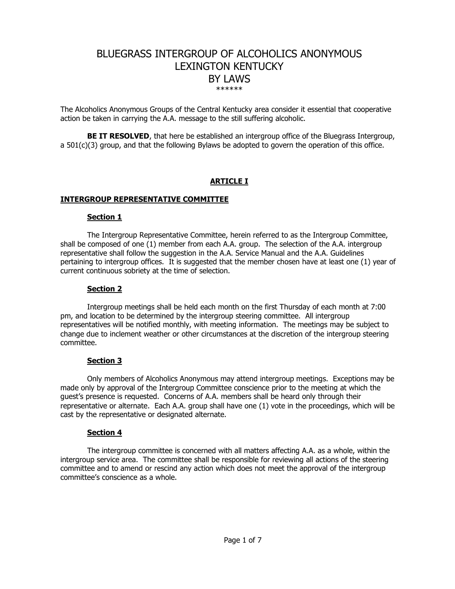# BLUEGRASS INTERGROUP OF ALCOHOLICS ANONYMOUS LEXINGTON KENTUCKY BY LAWS \*\*\*\*\*\*

The Alcoholics Anonymous Groups of the Central Kentucky area consider it essential that cooperative action be taken in carrying the A.A. message to the still suffering alcoholic.

**BE IT RESOLVED**, that here be established an intergroup office of the Bluegrass Intergroup, a 501(c)(3) group, and that the following Bylaws be adopted to govern the operation of this office.

# **ARTICLE I**

### **INTERGROUP REPRESENTATIVE COMMITTEE**

### **Section 1**

The Intergroup Representative Committee, herein referred to as the Intergroup Committee, shall be composed of one (1) member from each A.A. group. The selection of the A.A. intergroup representative shall follow the suggestion in the A.A. Service Manual and the A.A. Guidelines pertaining to intergroup offices. It is suggested that the member chosen have at least one (1) year of current continuous sobriety at the time of selection.

### **Section 2**

Intergroup meetings shall be held each month on the first Thursday of each month at 7:00 pm, and location to be determined by the intergroup steering committee. All intergroup representatives will be notified monthly, with meeting information. The meetings may be subject to change due to inclement weather or other circumstances at the discretion of the intergroup steering committee.

# **Section 3**

Only members of Alcoholics Anonymous may attend intergroup meetings. Exceptions may be made only by approval of the Intergroup Committee conscience prior to the meeting at which the guest's presence is requested. Concerns of A.A. members shall be heard only through their representative or alternate. Each A.A. group shall have one (1) vote in the proceedings, which will be cast by the representative or designated alternate.

# **Section 4**

The intergroup committee is concerned with all matters affecting A.A. as a whole, within the intergroup service area. The committee shall be responsible for reviewing all actions of the steering committee and to amend or rescind any action which does not meet the approval of the intergroup committee's conscience as a whole.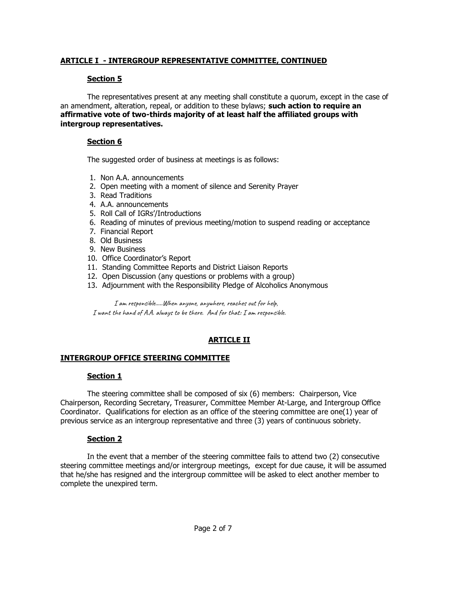# **ARTICLE I - INTERGROUP REPRESENTATIVE COMMITTEE, CONTINUED**

# **Section 5**

The representatives present at any meeting shall constitute a quorum, except in the case of an amendment, alteration, repeal, or addition to these bylaws; **such action to require an affirmative vote of two-thirds majority of at least half the affiliated groups with intergroup representatives.** 

# **Section 6**

The suggested order of business at meetings is as follows:

- 1. Non A.A. announcements
- 2. Open meeting with a moment of silence and Serenity Prayer
- 3. Read Traditions
- 4. A.A. announcements
- 5. Roll Call of IGRs'/Introductions
- 6. Reading of minutes of previous meeting/motion to suspend reading or acceptance
- 7. Financial Report
- 8. Old Business
- 9. New Business
- 10. Office Coordinator's Report
- 11. Standing Committee Reports and District Liaison Reports
- 12. Open Discussion (any questions or problems with a group)
- 13. Adjournment with the Responsibility Pledge of Alcoholics Anonymous

I am responsible…..When anyone, anywhere, reaches out for help, I want the hand of A.A. always to be there. And for that: I am responsible.

# **ARTICLE II**

# **INTERGROUP OFFICE STEERING COMMITTEE**

# **Section 1**

The steering committee shall be composed of six (6) members: Chairperson, Vice Chairperson, Recording Secretary, Treasurer, Committee Member At-Large, and Intergroup Office Coordinator. Qualifications for election as an office of the steering committee are one(1) year of previous service as an intergroup representative and three (3) years of continuous sobriety.

# **Section 2**

In the event that a member of the steering committee fails to attend two (2) consecutive steering committee meetings and/or intergroup meetings, except for due cause, it will be assumed that he/she has resigned and the intergroup committee will be asked to elect another member to complete the unexpired term.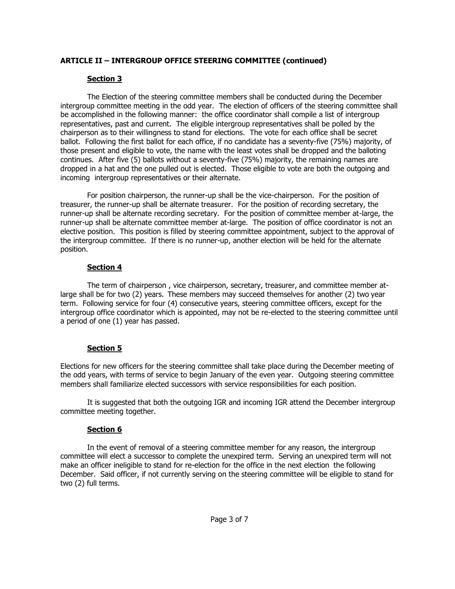# **ARTICLE II – INTERGROUP OFFICE STEERING COMMITTEE (continued)**

# **Section 3**

The Election of the steering committee members shall be conducted during the December intergroup committee meeting in the odd year. The election of officers of the steering committee shall be accomplished in the following manner: the office coordinator shall compile a list of intergroup representatives, past and current. The eligible intergroup representatives shall be polled by the chairperson as to their willingness to stand for elections. The vote for each office shall be secret ballot. Following the first ballot for each office, if no candidate has a seventy-five (75%) majority, of those present and eligible to vote, the name with the least votes shall be dropped and the balloting continues. After five (5) ballots without a seventy-five (75%) majority, the remaining names are dropped in a hat and the one pulled out is elected. Those eligible to vote are both the outgoing and incoming intergroup representatives or their alternate.

For position chairperson, the runner-up shall be the vice-chairperson. For the position of treasurer, the runner-up shall be alternate treasurer. For the position of recording secretary, the runner-up shall be alternate recording secretary. For the position of committee member at-large, the runner-up shall be alternate committee member at-large. The position of office coordinator is not an elective position. This position is filled by steering committee appointment, subject to the approval of the intergroup committee. If there is no runner-up, another election will be held for the alternate position.

# **Section 4**

The term of chairperson , vice chairperson, secretary, treasurer, and committee member atlarge shall be for two (2) years. These members may succeed themselves for another (2) two year term. Following service for four (4) consecutive years, steering committee officers, except for the intergroup office coordinator which is appointed, may not be re-elected to the steering committee until a period of one (1) year has passed.

# **Section 5**

Elections for new officers for the steering committee shall take place during the December meeting of the odd years, with terms of service to begin January of the even year. Outgoing steering committee members shall familiarize elected successors with service responsibilities for each position.

It is suggested that both the outgoing IGR and incoming IGR attend the December intergroup committee meeting together.

# **Section 6**

In the event of removal of a steering committee member for any reason, the intergroup committee will elect a successor to complete the unexpired term. Serving an unexpired term will not make an officer ineligible to stand for re-election for the office in the next election the following December. Said officer, if not currently serving on the steering committee will be eligible to stand for two (2) full terms.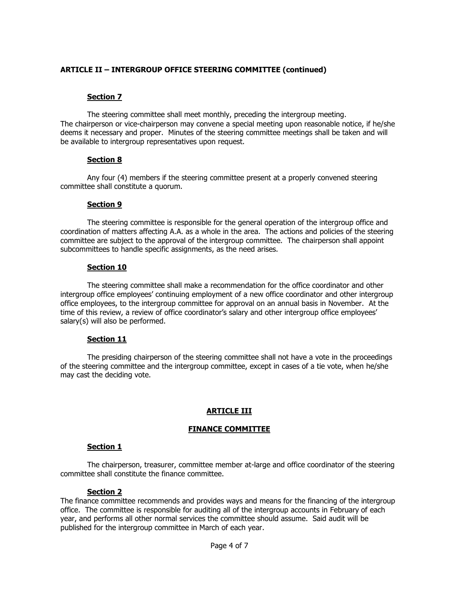# **ARTICLE II – INTERGROUP OFFICE STEERING COMMITTEE (continued)**

# **Section 7**

The steering committee shall meet monthly, preceding the intergroup meeting. The chairperson or vice-chairperson may convene a special meeting upon reasonable notice, if he/she deems it necessary and proper. Minutes of the steering committee meetings shall be taken and will be available to intergroup representatives upon request.

### **Section 8**

Any four (4) members if the steering committee present at a properly convened steering committee shall constitute a quorum.

### **Section 9**

The steering committee is responsible for the general operation of the intergroup office and coordination of matters affecting A.A. as a whole in the area. The actions and policies of the steering committee are subject to the approval of the intergroup committee. The chairperson shall appoint subcommittees to handle specific assignments, as the need arises.

### **Section 10**

The steering committee shall make a recommendation for the office coordinator and other intergroup office employees' continuing employment of a new office coordinator and other intergroup office employees, to the intergroup committee for approval on an annual basis in November. At the time of this review, a review of office coordinator's salary and other intergroup office employees' salary(s) will also be performed.

# **Section 11**

The presiding chairperson of the steering committee shall not have a vote in the proceedings of the steering committee and the intergroup committee, except in cases of a tie vote, when he/she may cast the deciding vote.

# **ARTICLE III**

# **FINANCE COMMITTEE**

### **Section 1**

The chairperson, treasurer, committee member at-large and office coordinator of the steering committee shall constitute the finance committee.

### **Section 2**

The finance committee recommends and provides ways and means for the financing of the intergroup office. The committee is responsible for auditing all of the intergroup accounts in February of each year, and performs all other normal services the committee should assume. Said audit will be published for the intergroup committee in March of each year.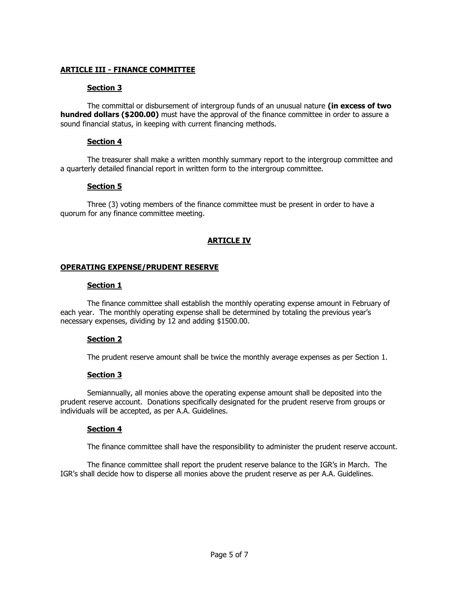### **ARTICLE III - FINANCE COMMITTEE**

### **Section 3**

The committal or disbursement of intergroup funds of an unusual nature **(in excess of two hundred dollars (\$200.00)** must have the approval of the finance committee in order to assure a sound financial status, in keeping with current financing methods.

### **Section 4**

The treasurer shall make a written monthly summary report to the intergroup committee and a quarterly detailed financial report in written form to the intergroup committee.

# **Section 5**

Three (3) voting members of the finance committee must be present in order to have a quorum for any finance committee meeting.

### **ARTICLE IV**

### **OPERATING EXPENSE/PRUDENT RESERVE**

### **Section 1**

The finance committee shall establish the monthly operating expense amount in February of each year. The monthly operating expense shall be determined by totaling the previous year's necessary expenses, dividing by 12 and adding \$1500.00.

# **Section 2**

The prudent reserve amount shall be twice the monthly average expenses as per Section 1.

# **Section 3**

Semiannually, all monies above the operating expense amount shall be deposited into the prudent reserve account. Donations specifically designated for the prudent reserve from groups or individuals will be accepted, as per A.A. Guidelines.

# **Section 4**

The finance committee shall have the responsibility to administer the prudent reserve account.

The finance committee shall report the prudent reserve balance to the IGR's in March. The IGR's shall decide how to disperse all monies above the prudent reserve as per A.A. Guidelines.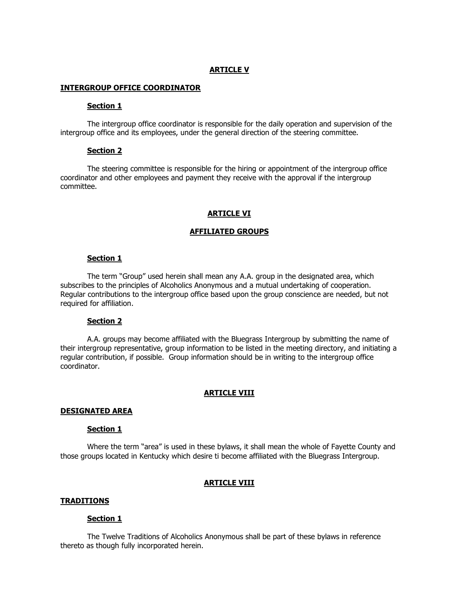### **ARTICLE V**

#### **INTERGROUP OFFICE COORDINATOR**

#### **Section 1**

The intergroup office coordinator is responsible for the daily operation and supervision of the intergroup office and its employees, under the general direction of the steering committee.

#### **Section 2**

The steering committee is responsible for the hiring or appointment of the intergroup office coordinator and other employees and payment they receive with the approval if the intergroup committee.

#### **ARTICLE VI**

#### **AFFILIATED GROUPS**

#### **Section 1**

The term "Group" used herein shall mean any A.A. group in the designated area, which subscribes to the principles of Alcoholics Anonymous and a mutual undertaking of cooperation. Regular contributions to the intergroup office based upon the group conscience are needed, but not required for affiliation.

#### **Section 2**

A.A. groups may become affiliated with the Bluegrass Intergroup by submitting the name of their intergroup representative, group information to be listed in the meeting directory, and initiating a regular contribution, if possible. Group information should be in writing to the intergroup office coordinator.

#### **ARTICLE VIII**

#### **DESIGNATED AREA**

#### **Section 1**

Where the term "area" is used in these bylaws, it shall mean the whole of Fayette County and those groups located in Kentucky which desire ti become affiliated with the Bluegrass Intergroup.

#### **ARTICLE VIII**

#### **TRADITIONS**

#### **Section 1**

The Twelve Traditions of Alcoholics Anonymous shall be part of these bylaws in reference thereto as though fully incorporated herein.